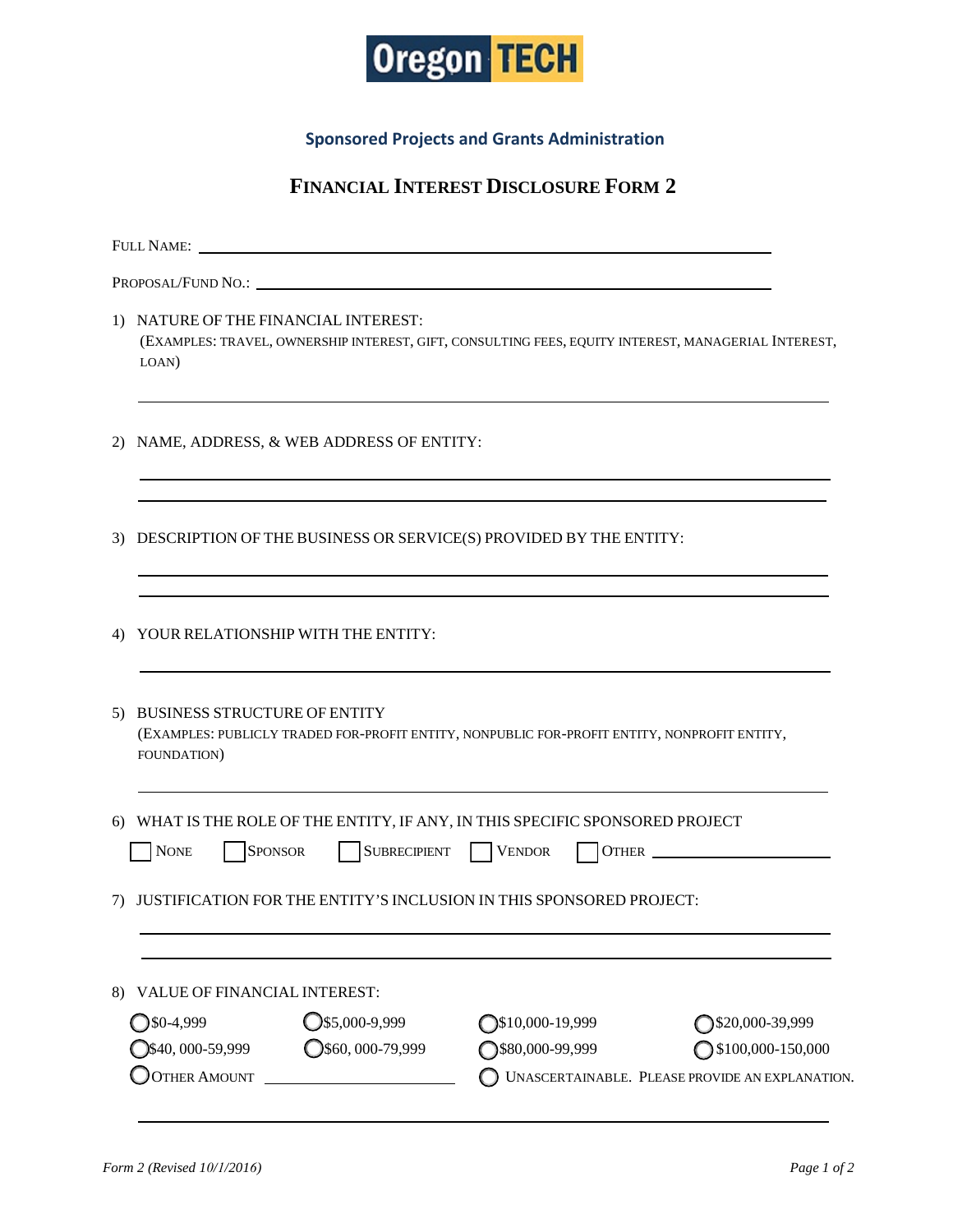

**Sponsored Projects and Grants Administration**

## **FINANCIAL INTEREST DISCLOSURE FORM 2**

|    | <b>FULL NAME:</b>                                                                                                                                    |                            |                                                 |
|----|------------------------------------------------------------------------------------------------------------------------------------------------------|----------------------------|-------------------------------------------------|
|    |                                                                                                                                                      |                            |                                                 |
|    | 1) NATURE OF THE FINANCIAL INTEREST:<br>(EXAMPLES: TRAVEL, OWNERSHIP INTEREST, GIFT, CONSULTING FEES, EQUITY INTEREST, MANAGERIAL INTEREST,<br>LOAN) |                            |                                                 |
| 2) | NAME, ADDRESS, & WEB ADDRESS OF ENTITY:                                                                                                              |                            |                                                 |
| 3) | DESCRIPTION OF THE BUSINESS OR SERVICE(S) PROVIDED BY THE ENTITY:                                                                                    |                            |                                                 |
| 4) | YOUR RELATIONSHIP WITH THE ENTITY:                                                                                                                   |                            |                                                 |
| 5) | <b>BUSINESS STRUCTURE OF ENTITY</b><br>(EXAMPLES: PUBLICLY TRADED FOR-PROFIT ENTITY, NONPUBLIC FOR-PROFIT ENTITY, NONPROFIT ENTITY,<br>FOUNDATION)   |                            |                                                 |
| 6) | WHAT IS THE ROLE OF THE ENTITY, IF ANY, IN THIS SPECIFIC SPONSORED PROJECT<br><b>NONE</b><br><b>SPONSOR</b>                                          | SUBRECIPIENT VENDOR        | OTHER                                           |
| 7) | JUSTIFICATION FOR THE ENTITY'S INCLUSION IN THIS SPONSORED PROJECT:                                                                                  |                            |                                                 |
| 8) | VALUE OF FINANCIAL INTEREST:                                                                                                                         |                            |                                                 |
|    | $Q$ \$5,000-9,999<br>$30-4,999$                                                                                                                      | $\bigcirc$ \$10,000-19,999 | ◯\$20,000-39,999                                |
|    | $Q$ \$60,000-79,999<br>$\bigcirc$ \$40, 000-59,999                                                                                                   | ◯\$80,000-99,999           | $\bigcirc$ \$100,000-150,000                    |
|    | <b>OTHER AMOUNT</b><br><u> 1990 - John Stein, Amerikaansk politiker (</u>                                                                            |                            | UNASCERTAINABLE. PLEASE PROVIDE AN EXPLANATION. |